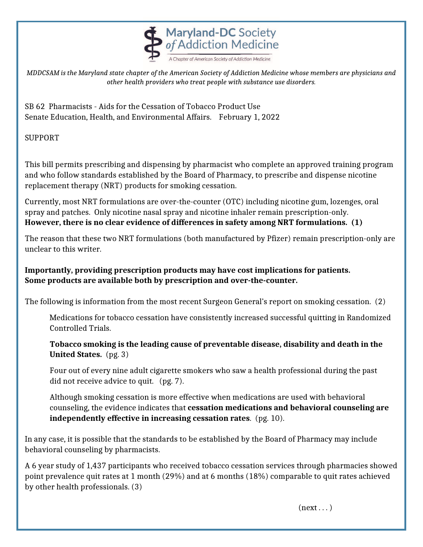

*MDDCSAM is the Maryland state chapter of the American Society of Addiction Medicine whose members are physicians and other health providers who treat people with substance use disorders.*

SB 62 Pharmacists - Aids for the Cessation of Tobacco Product Use Senate Education, Health, and Environmental Affairs. February 1, 2022

SUPPORT

This bill permits prescribing and dispensing by pharmacist who complete an approved training program and who follow standards established by the Board of Pharmacy, to prescribe and dispense nicotine replacement therapy (NRT) products for smoking cessation.

Currently, most NRT formulations are over-the-counter (OTC) including nicotine gum, lozenges, oral spray and patches. Only nicotine nasal spray and nicotine inhaler remain prescription-only. **However, there is no clear evidence of differences in safety among NRT formulations. (1)** 

The reason that these two NRT formulations (both manufactured by Pfizer) remain prescription-only are unclear to this writer.

**Importantly, providing prescription products may have cost implications for patients. Some products are available both by prescription and over-the-counter.**

The following is information from the most recent Surgeon General's report on smoking cessation. (2)

Medications for tobacco cessation have consistently increased successful quitting in Randomized Controlled Trials.

 **Tobacco smoking is the leading cause of preventable disease, disability and death in the United States.** (pg. 3)

Four out of every nine adult cigarette smokers who saw a health professional during the past did not receive advice to quit. (pg. 7).

Although smoking cessation is more effective when medications are used with behavioral counseling, the evidence indicates that **cessation medications and behavioral counseling are independently effective in increasing cessation rates**. (pg. 10).

In any case, it is possible that the standards to be established by the Board of Pharmacy may include behavioral counseling by pharmacists.

A 6 year study of 1,437 participants who received tobacco cessation services through pharmacies showed point prevalence quit rates at 1 month (29%) and at 6 months (18%) comparable to quit rates achieved by other health professionals. (3)

 $(next \dots)$